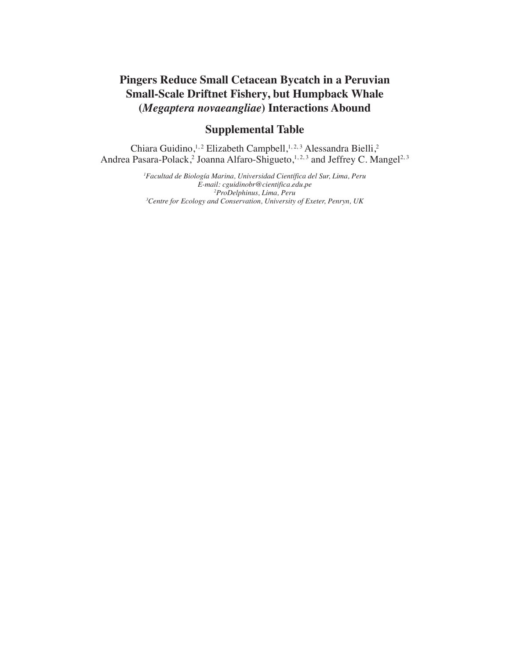## **Pingers Reduce Small Cetacean Bycatch in a Peruvian Small-Scale Driftnet Fishery, but Humpback Whale (***Megaptera novaeangliae***) Interactions Abound**

## **Supplemental Table**

Chiara Guidino,<sup>1,2</sup> Elizabeth Campbell,<sup>1,2,3</sup> Alessandra Bielli,<sup>2</sup> Andrea Pasara-Polack,<sup>2</sup> Joanna Alfaro-Shigueto,<sup>1,2,3</sup> and Jeffrey C. Mangel<sup>2,3</sup>

> *Facultad de Biología Marina, Universidad Científica del Sur, Lima, Peru E-mail: cguidinobr@cientifica.edu.pe ProDelphinus, Lima, Peru Centre for Ecology and Conservation, University of Exeter, Penryn, UK*